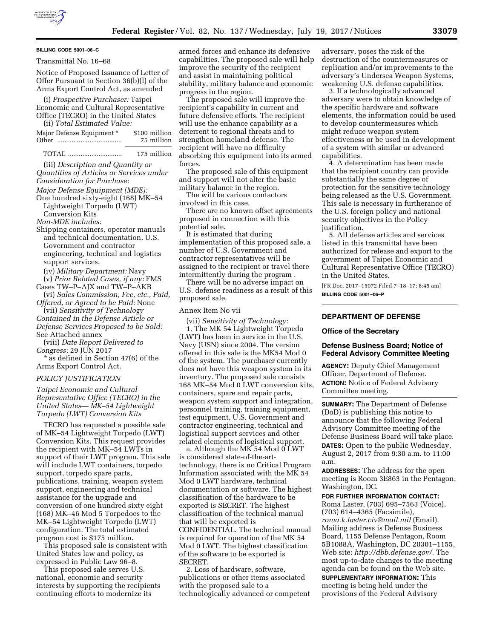# **BILLING CODE 5001–06–C**

Transmittal No. 16–68

Notice of Proposed Issuance of Letter of Offer Pursuant to Section 36(b)(l) of the Arms Export Control Act, as amended

(i) *Prospective Purchaser:* Taipei Economic and Cultural Representative Office (TECRO) in the United States (ii) *Total Estimated Value:* 

| Major Defense Equipment * | \$100 million |
|---------------------------|---------------|
| Other                     | 75 million    |
|                           |               |

TOTAL .............................. 175 million (iii) *Description and Quantity or Quantities of Articles or Services under Consideration for Purchase:* 

- *Major Defense Equipment (MDE):*
- One hundred sixty-eight (168) MK–54 Lightweight Torpedo (LWT) Conversion Kits

*Non-MDE includes:*  Shipping containers, operator manuals and technical documentation, U.S. Government and contractor engineering, technical and logistics

support services.

(iv) *Military Department:* Navy

(v) *Prior Related Cases, if any:* FMS Cases TW–P–AJX and TW–P–AKB

(vi) *Sales Commission, Fee, etc., Paid, Offered, or Agreed to be Paid:* None

(vii) *Sensitivity of Technology Contained in the Defense Article or Defense Services Proposed to be Sold:*  See Attached annex

(viii) *Date Report Delivered to Congress:* 29 JUN 2017

\* as defined in Section 47(6) of the Arms Export Control Act.

#### *POLICY JUSTIFICATION*

*Taipei Economic and Cultural Representative Office (TECRO) in the United States— MK–54 Lightweight Torpedo (LWT) Conversion Kits* 

TECRO has requested a possible sale of MK–54 Lightweight Torpedo (LWT) Conversion Kits. This request provides the recipient with MK–54 LWTs in support of their LWT program. This sale will include LWT containers, torpedo support, torpedo spare parts, publications, training, weapon system support, engineering and technical assistance for the upgrade and conversion of one hundred sixty eight (168) MK–46 Mod 5 Torpedoes to the MK–54 Lightweight Torpedo (LWT) configuration. The total estimated program cost is \$175 million.

This proposed sale is consistent with United States law and policy, as expressed in Public Law 96–8.

This proposed sale serves U.S. national, economic and security interests by supporting the recipients continuing efforts to modernize its

armed forces and enhance its defensive capabilities. The proposed sale will help improve the security of the recipient and assist in maintaining political stability, military balance and economic progress in the region.

The proposed sale will improve the recipient's capability in current and future defensive efforts. The recipient will use the enhance capability as a deterrent to regional threats and to strengthen homeland defense. The recipient will have no difficulty absorbing this equipment into its armed forces.

The proposed sale of this equipment and support will not alter the basic military balance in the region.

The will be various contactors involved in this case.

There are no known offset agreements proposed in connection with this potential sale.

It is estimated that during implementation of this proposed sale, a number of U.S. Government and contractor representatives will be assigned to the recipient or travel there intermittently during the program .

There will be no adverse impact on U.S. defense readiness as a result of this proposed sale.

#### Annex Item No vii

(vii) *Sensitivity of Technology:*  1. The MK 54 Lightweight Torpedo (LWT) has been in service in the U.S. Navy (USN) since 2004. The version offered in this sale is the MK54 Mod 0 of the system. The purchaser currently does not have this weapon system in its inventory. The proposed sale consists 168 MK–54 Mod 0 LWT conversion kits, containers, spare and repair parts, weapon system support and integration, personnel training, training equipment, test equipment, U.S. Government and contractor engineering, technical and logistical support services and other related elements of logistical support.

a. Although the MK 54 Mod 0 LWT is considered state-of-the-arttechnology, there is no Critical Program Information associated with the MK 54 Mod 0 LWT hardware, technical documentation or software. The highest classification of the hardware to be exported is SECRET. The highest classification of the technical manual that will be exported is CONFIDENTIAL. The technical manual is required for operation of the MK 54 Mod 0 LWT. The highest classification of the software to be exported is SECRET.

2. Loss of hardware, software, publications or other items associated with the proposed sale to a technologically advanced or competent adversary, poses the risk of the destruction of the countermeasures or replication and/or improvements to the adversary's Undersea Weapon Systems, weakening U.S. defense capabilities.

3. If a technologically advanced adversary were to obtain knowledge of the specific hardware and software elements, the information could be used to develop countermeasures which might reduce weapon system effectiveness or be used in development of a system with similar or advanced capabilities.

4. A determination has been made that the recipient country can provide substantially the same degree of protection for the sensitive technology being released as the U.S. Government. This sale is necessary in furtherance of the U.S. foreign policy and national security objectives in the Policy justification.

5. All defense articles and services listed in this transmittal have been authorized for release and export to the government of Taipei Economic and Cultural Representative Office (TECRO) in the United States.

[FR Doc. 2017–15072 Filed 7–18–17; 8:45 am] **BILLING CODE 5001–06–P** 

## **DEPARTMENT OF DEFENSE**

#### **Office of the Secretary**

## **Defense Business Board; Notice of Federal Advisory Committee Meeting**

**AGENCY:** Deputy Chief Management Officer, Department of Defense. **ACTION:** Notice of Federal Advisory Committee meeting.

**SUMMARY:** The Department of Defense (DoD) is publishing this notice to announce that the following Federal Advisory Committee meeting of the Defense Business Board will take place. **DATES:** Open to the public Wednesday, August 2, 2017 from 9:30 a.m. to 11:00 a.m.

**ADDRESSES:** The address for the open meeting is Room 3E863 in the Pentagon, Washington, DC.

**FOR FURTHER INFORMATION CONTACT:**  Roma Laster, (703) 695–7563 (Voice), (703) 614–4365 (Facsimile), *[roma.k.laster.civ@mail.mil](mailto:roma.k.laster.civ@mail.mil)* (Email). Mailing address is Defense Business Board, 1155 Defense Pentagon, Room 5B1088A, Washington, DC 20301–1155, Web site: *[http://dbb.defense.gov/.](http://dbb.defense.gov/)* The most up-to-date changes to the meeting agenda can be found on the Web site.

**SUPPLEMENTARY INFORMATION:** This meeting is being held under the provisions of the Federal Advisory